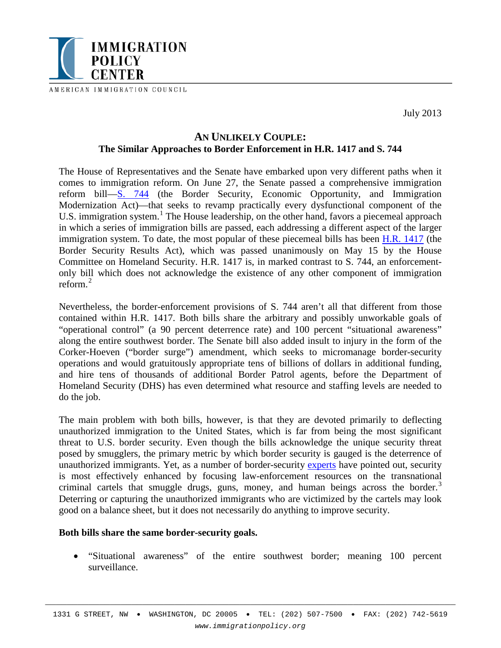

AMERICAN IMMIGRATION COUNCIL

July 2013

# **AN UNLIKELY COUPLE: The Similar Approaches to Border Enforcement in H.R. 1417 and S. 744**

The House of Representatives and the Senate have embarked upon very different paths when it comes to immigration reform. On June 27, the Senate passed a comprehensive immigration reform bill[—S. 744](http://thomas.loc.gov/cgi-bin/bdquery/z?d113:s.744:) (the Border Security, Economic Opportunity, and Immigration Modernization Act)—that seeks to revamp practically every dysfunctional component of the U.S. immigration system.<sup>[1](#page-4-0)</sup> The House leadership, on the other hand, favors a piecemeal approach in which a series of immigration bills are passed, each addressing a different aspect of the larger immigration system. To date, the most popular of these piecemeal bills has been [H.R. 1417](http://thomas.loc.gov/cgi-bin/bdquery/z?d113:h.r.1417:) (the Border Security Results Act), which was passed unanimously on May 15 by the House Committee on Homeland Security. H.R. 1417 is, in marked contrast to S. 744, an enforcementonly bill which does not acknowledge the existence of any other component of immigration reform.[2](#page-4-1)

Nevertheless, the border-enforcement provisions of S. 744 aren't all that different from those contained within H.R. 1417. Both bills share the arbitrary and possibly unworkable goals of "operational control" (a 90 percent deterrence rate) and 100 percent "situational awareness" along the entire southwest border. The Senate bill also added insult to injury in the form of the Corker-Hoeven ("border surge") amendment, which seeks to micromanage border-security operations and would gratuitously appropriate tens of billions of dollars in additional funding, and hire tens of thousands of additional Border Patrol agents, before the Department of Homeland Security (DHS) has even determined what resource and staffing levels are needed to do the job.

The main problem with both bills, however, is that they are devoted primarily to deflecting unauthorized immigration to the United States, which is far from being the most significant threat to U.S. border security. Even though the bills acknowledge the unique security threat posed by smugglers, the primary metric by which border security is gauged is the deterrence of unauthorized immigrants. Yet, as a number of border-security [experts](http://www.immigrationpolicy.org/just-facts/border-resource-page) have pointed out, security is most effectively enhanced by focusing law-enforcement resources on the transnational criminal cartels that smuggle drugs, guns, money, and human beings across the border.<sup>[3](#page-4-2)</sup> Deterring or capturing the unauthorized immigrants who are victimized by the cartels may look good on a balance sheet, but it does not necessarily do anything to improve security.

#### **Both bills share the same border-security goals.**

• "Situational awareness" of the entire southwest border; meaning 100 percent surveillance.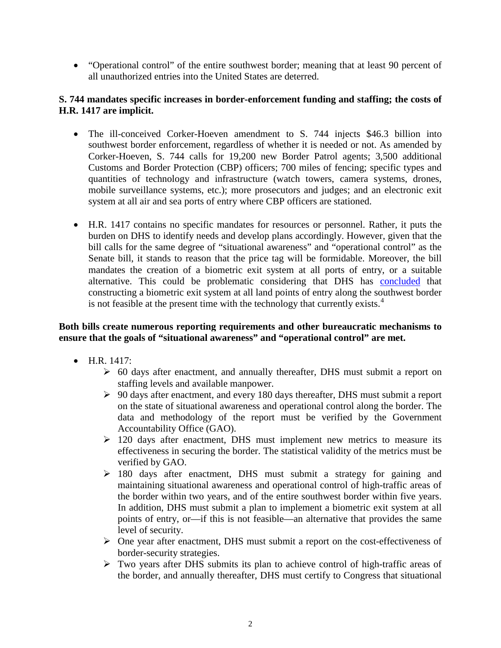• "Operational control" of the entire southwest border; meaning that at least 90 percent of all unauthorized entries into the United States are deterred.

## **S. 744 mandates specific increases in border-enforcement funding and staffing; the costs of H.R. 1417 are implicit.**

- The ill-conceived Corker-Hoeven amendment to S. 744 injects \$46.3 billion into southwest border enforcement, regardless of whether it is needed or not. As amended by Corker-Hoeven, S. 744 calls for 19,200 new Border Patrol agents; 3,500 additional Customs and Border Protection (CBP) officers; 700 miles of fencing; specific types and quantities of technology and infrastructure (watch towers, camera systems, drones, mobile surveillance systems, etc.); more prosecutors and judges; and an electronic exit system at all air and sea ports of entry where CBP officers are stationed.
- H.R. 1417 contains no specific mandates for resources or personnel. Rather, it puts the burden on DHS to identify needs and develop plans accordingly. However, given that the bill calls for the same degree of "situational awareness" and "operational control" as the Senate bill, it stands to reason that the price tag will be formidable. Moreover, the bill mandates the creation of a biometric exit system at all ports of entry, or a suitable alternative. This could be problematic considering that DHS has [concluded](http://www.gao.gov/assets/120/117187.pdf) that constructing a biometric exit system at all land points of entry along the southwest border is not feasible at the present time with the technology that currently exists.<sup>[4](#page-4-3)</sup>

# **Both bills create numerous reporting requirements and other bureaucratic mechanisms to ensure that the goals of "situational awareness" and "operational control" are met.**

- H.R. 1417:
	- $\geq$  60 days after enactment, and annually thereafter, DHS must submit a report on staffing levels and available manpower.
	- $\geq 90$  days after enactment, and every 180 days thereafter, DHS must submit a report on the state of situational awareness and operational control along the border. The data and methodology of the report must be verified by the Government Accountability Office (GAO).
	- $\geq$  120 days after enactment, DHS must implement new metrics to measure its effectiveness in securing the border. The statistical validity of the metrics must be verified by GAO.
	- $\geq$  180 days after enactment, DHS must submit a strategy for gaining and maintaining situational awareness and operational control of high-traffic areas of the border within two years, and of the entire southwest border within five years. In addition, DHS must submit a plan to implement a biometric exit system at all points of entry, or—if this is not feasible—an alternative that provides the same level of security.
	- $\triangleright$  One year after enactment, DHS must submit a report on the cost-effectiveness of border-security strategies.
	- Two years after DHS submits its plan to achieve control of high-traffic areas of the border, and annually thereafter, DHS must certify to Congress that situational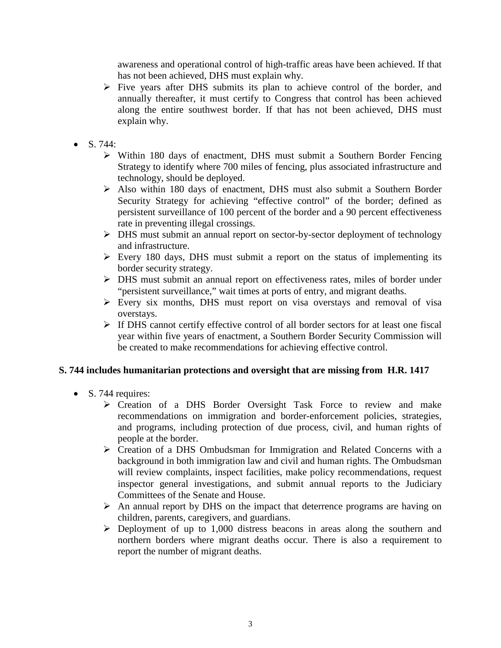awareness and operational control of high-traffic areas have been achieved. If that has not been achieved, DHS must explain why.

- $\triangleright$  Five years after DHS submits its plan to achieve control of the border, and annually thereafter, it must certify to Congress that control has been achieved along the entire southwest border. If that has not been achieved, DHS must explain why.
- $S. 744:$ 
	- Within 180 days of enactment, DHS must submit a Southern Border Fencing Strategy to identify where 700 miles of fencing, plus associated infrastructure and technology, should be deployed.
	- Also within 180 days of enactment, DHS must also submit a Southern Border Security Strategy for achieving "effective control" of the border; defined as persistent surveillance of 100 percent of the border and a 90 percent effectiveness rate in preventing illegal crossings.
	- DHS must submit an annual report on sector-by-sector deployment of technology and infrastructure.
	- $\triangleright$  Every 180 days, DHS must submit a report on the status of implementing its border security strategy.
	- DHS must submit an annual report on effectiveness rates, miles of border under "persistent surveillance," wait times at ports of entry, and migrant deaths.
	- Every six months, DHS must report on visa overstays and removal of visa overstays.
	- $\triangleright$  If DHS cannot certify effective control of all border sectors for at least one fiscal year within five years of enactment, a Southern Border Security Commission will be created to make recommendations for achieving effective control.

# **S. 744 includes humanitarian protections and oversight that are missing from H.R. 1417**

- S. 744 requires:
	- Creation of a DHS Border Oversight Task Force to review and make recommendations on immigration and border-enforcement policies, strategies, and programs, including protection of due process, civil, and human rights of people at the border.
	- Creation of a DHS Ombudsman for Immigration and Related Concerns with a background in both immigration law and civil and human rights. The Ombudsman will review complaints, inspect facilities, make policy recommendations, request inspector general investigations, and submit annual reports to the Judiciary Committees of the Senate and House.
	- $\triangleright$  An annual report by DHS on the impact that deterrence programs are having on children, parents, caregivers, and guardians.
	- $\triangleright$  Deployment of up to 1,000 distress beacons in areas along the southern and northern borders where migrant deaths occur. There is also a requirement to report the number of migrant deaths.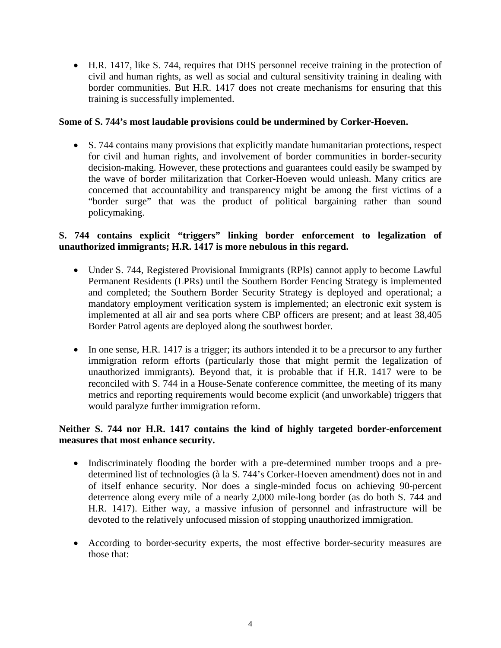• H.R. 1417, like S. 744, requires that DHS personnel receive training in the protection of civil and human rights, as well as social and cultural sensitivity training in dealing with border communities. But H.R. 1417 does not create mechanisms for ensuring that this training is successfully implemented.

### **Some of S. 744's most laudable provisions could be undermined by Corker-Hoeven.**

• S. 744 contains many provisions that explicitly mandate humanitarian protections, respect for civil and human rights, and involvement of border communities in border-security decision-making. However, these protections and guarantees could easily be swamped by the wave of border militarization that Corker-Hoeven would unleash. Many critics are concerned that accountability and transparency might be among the first victims of a "border surge" that was the product of political bargaining rather than sound policymaking.

## **S. 744 contains explicit "triggers" linking border enforcement to legalization of unauthorized immigrants; H.R. 1417 is more nebulous in this regard.**

- Under S. 744, Registered Provisional Immigrants (RPIs) cannot apply to become Lawful Permanent Residents (LPRs) until the Southern Border Fencing Strategy is implemented and completed; the Southern Border Security Strategy is deployed and operational; a mandatory employment verification system is implemented; an electronic exit system is implemented at all air and sea ports where CBP officers are present; and at least 38,405 Border Patrol agents are deployed along the southwest border.
- In one sense, H.R. 1417 is a trigger; its authors intended it to be a precursor to any further immigration reform efforts (particularly those that might permit the legalization of unauthorized immigrants). Beyond that, it is probable that if H.R. 1417 were to be reconciled with S. 744 in a House-Senate conference committee, the meeting of its many metrics and reporting requirements would become explicit (and unworkable) triggers that would paralyze further immigration reform.

## **Neither S. 744 nor H.R. 1417 contains the kind of highly targeted border-enforcement measures that most enhance security.**

- Indiscriminately flooding the border with a pre-determined number troops and a predetermined list of technologies (à la S. 744's Corker-Hoeven amendment) does not in and of itself enhance security. Nor does a single-minded focus on achieving 90-percent deterrence along every mile of a nearly 2,000 mile-long border (as do both S. 744 and H.R. 1417). Either way, a massive infusion of personnel and infrastructure will be devoted to the relatively unfocused mission of stopping unauthorized immigration.
- According to border-security experts, the most effective border-security measures are those that: